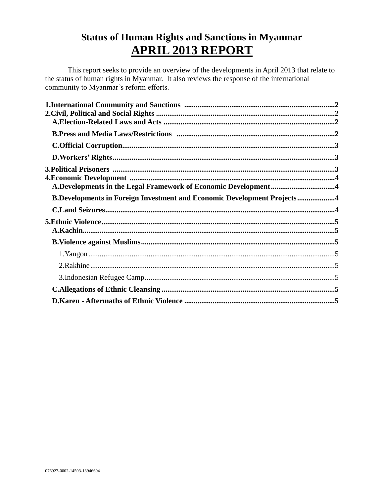# **Status of Human Rights and Sanctions in Myanmar APRIL 2013 REPORT**

This report seeks to provide an overview of the developments in April 2013 that relate to the status of human rights in Myanmar. It also reviews the response of the international community to Myanmar's reform efforts.

| A.Developments in the Legal Framework of Economic Development4                 |  |
|--------------------------------------------------------------------------------|--|
| <b>B.Developments in Foreign Investment and Economic Development Projects4</b> |  |
|                                                                                |  |
|                                                                                |  |
|                                                                                |  |
|                                                                                |  |
|                                                                                |  |
|                                                                                |  |
|                                                                                |  |
|                                                                                |  |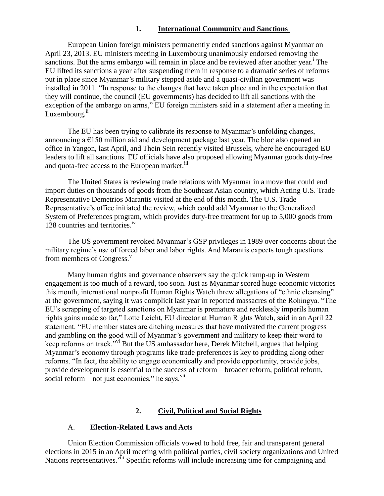# **1. International Community and Sanctions**

<span id="page-1-0"></span>European Union foreign ministers permanently ended sanctions against Myanmar on April 23, 2013. EU ministers meeting in Luxembourg unanimously endorsed removing the sanctions. But the arms embargo will remain in place and be reviewed after another year.<sup>1</sup> The EU lifted its sanctions a year after suspending them in response to a dramatic series of reforms put in place since Myanmar's military stepped aside and a quasi-civilian government was installed in 2011. "In response to the changes that have taken place and in the expectation that they will continue, the council (EU governments) has decided to lift all sanctions with the exception of the embargo on arms," EU foreign ministers said in a statement after a meeting in Luxembourg.<sup>ii</sup>

The EU has been trying to calibrate its response to Myanmar's unfolding changes, announcing a  $\epsilon$ 150 million aid and development package last year. The bloc also opened an office in Yangon, last April, and Thein Sein recently visited Brussels, where he encouraged EU leaders to lift all sanctions. EU officials have also proposed allowing Myanmar goods duty-free and quota-free access to the European market.<sup>iii</sup>

The United States is reviewing trade relations with Myanmar in a move that could end import duties on thousands of goods from the Southeast Asian country, which Acting U.S. Trade Representative Demetrios Marantis visited at the end of this month. The U.S. Trade Representative's office initiated the review, which could add Myanmar to the Generalized System of Preferences program, which provides duty-free treatment for up to 5,000 goods from 128 countries and territories.<sup>iv</sup>

The US government revoked Myanmar's GSP privileges in 1989 over concerns about the military regime's use of forced labor and labor rights. And Marantis expects tough questions from members of Congress. $\overline{v}$ 

Many human rights and governance observers say the quick ramp-up in Western engagement is too much of a reward, too soon. Just as Myanmar scored huge economic victories this month, international nonprofit Human Rights Watch threw allegations of "ethnic cleansing" at the government, saying it was complicit last year in reported massacres of the Rohingya. "The EU's scrapping of targeted sanctions on Myanmar is premature and recklessly imperils human rights gains made so far," Lotte Leicht, EU director at Human Rights Watch, said in an April 22 statement. "EU member states are ditching measures that have motivated the current progress and gambling on the good will of Myanmar's government and military to keep their word to keep reforms on track."vi But the US ambassador here, Derek Mitchell, argues that helping Myanmar's economy through programs like trade preferences is key to prodding along other reforms. "In fact, the ability to engage economically and provide opportunity, provide jobs, provide development is essential to the success of reform – broader reform, political reform, social reform – not just economics," he says. $\frac{v}{u}$ 

# **2. Civil, Political and Social Rights**

## <span id="page-1-1"></span>A. **Election-Related Laws and Acts**

<span id="page-1-2"></span>Union Election Commission officials vowed to hold free, fair and transparent general elections in 2015 in an April meeting with political parties, civil society organizations and United Nations representatives.<sup>viii</sup> Specific reforms will include increasing time for campaigning and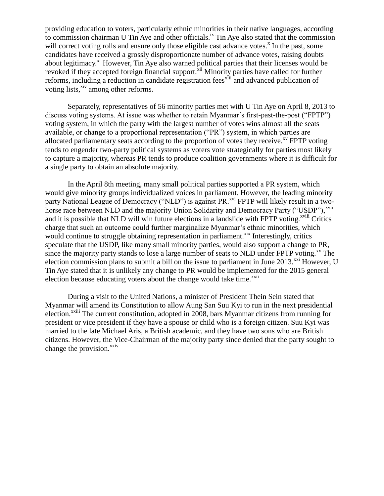providing education to voters, particularly ethnic minorities in their native languages, according to commission chairman U Tin Aye and other officials.<sup>ix</sup> Tin Aye also stated that the commission will correct voting rolls and ensure only those eligible cast advance votes.<sup>x</sup> In the past, some candidates have received a grossly disproportionate number of advance votes, raising doubts about legitimacy.<sup>xi</sup> However, Tin Aye also warned political parties that their licenses would be revoked if they accepted foreign financial support.<sup>xii</sup> Minority parties have called for further reforms, including a reduction in candidate registration fees<sup>xiii</sup> and advanced publication of voting lists,<sup>xiv</sup> among other reforms.

Separately, representatives of 56 minority parties met with U Tin Aye on April 8, 2013 to discuss voting systems. At issue was whether to retain Myanmar's first-past-the-post ("FPTP") voting system, in which the party with the largest number of votes wins almost all the seats available, or change to a proportional representation ("PR") system, in which parties are allocated parliamentary seats according to the proportion of votes they receive.<sup> $xy$ </sup> FPTP voting tends to engender two-party political systems as voters vote strategically for parties most likely to capture a majority, whereas PR tends to produce coalition governments where it is difficult for a single party to obtain an absolute majority.

In the April 8th meeting, many small political parties supported a PR system, which would give minority groups individualized voices in parliament. However, the leading minority party National League of Democracy ("NLD") is against PR.<sup>xvi</sup> FPTP will likely result in a twohorse race between NLD and the majority Union Solidarity and Democracy Party ("USDP"),<sup>xvii</sup> and it is possible that NLD will win future elections in a landslide with FPTP voting.<sup>xviii</sup> Critics charge that such an outcome could further marginalize Myanmar's ethnic minorities, which would continue to struggle obtaining representation in parliament.<sup>xix</sup> Interestingly, critics speculate that the USDP, like many small minority parties, would also support a change to PR, since the majority party stands to lose a large number of seats to NLD under FPTP voting.<sup>xx</sup> The election commission plans to submit a bill on the issue to parliament in June  $2013$ . XXI However, U Tin Aye stated that it is unlikely any change to PR would be implemented for the 2015 general election because educating voters about the change would take time.<sup>xxii</sup>

During a visit to the United Nations, a minister of President Thein Sein stated that Myanmar will amend its Constitution to allow Aung San Suu Kyi to run in the next presidential election.<sup>xxiii</sup> The current constitution, adopted in 2008, bars Myanmar citizens from running for president or vice president if they have a spouse or child who is a foreign citizen. Suu Kyi was married to the late Michael Aris, a British academic, and they have two sons who are British citizens. However, the Vice-Chairman of the majority party since denied that the party sought to change the provision. $x_{\text{xiv}}$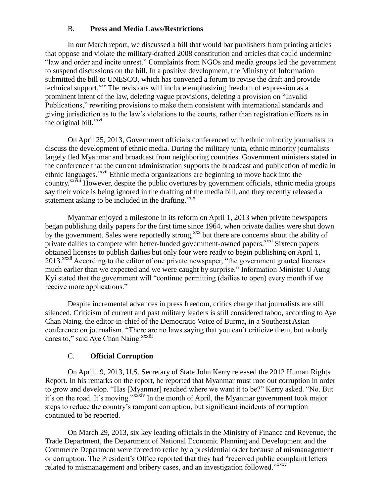# B. **Press and Media Laws/Restrictions**

<span id="page-3-0"></span>In our March report, we discussed a bill that would bar publishers from printing articles that oppose and violate the military-drafted 2008 constitution and articles that could undermine "law and order and incite unrest." Complaints from NGOs and media groups led the government to suspend discussions on the bill. In a positive development, the Ministry of Information submitted the bill to UNESCO, which has convened a forum to revise the draft and provide technical support.<sup>xxv</sup> The revisions will include emphasizing freedom of expression as a prominent intent of the law, deleting vague provisions, deleting a provision on "Invalid Publications," rewriting provisions to make them consistent with international standards and giving jurisdiction as to the law's violations to the courts, rather than registration officers as in the original bill. $^{xxvi}$ 

On April 25, 2013, Government officials conferenced with ethnic minority journalists to discuss the development of ethnic media. During the military junta, ethnic minority journalists largely fled Myanmar and broadcast from neighboring countries. Government ministers stated in the conference that the current administration supports the broadcast and publication of media in ethnic languages.<sup>xxvii</sup> Ethnic media organizations are beginning to move back into the country.xxviii However, despite the public overtures by government officials, ethnic media groups say their voice is being ignored in the drafting of the media bill, and they recently released a statement asking to be included in the drafting.<sup>xxix</sup>

Myanmar enjoyed a milestone in its reform on April 1, 2013 when private newspapers began publishing daily papers for the first time since 1964, when private dailies were shut down by the government. Sales were reportedly strong,<sup>xxx</sup> but there are concerns about the ability of private dailies to compete with better-funded government-owned papers.<sup>xxxi</sup> Sixteen papers obtained licenses to publish dailies but only four were ready to begin publishing on April 1, 2013.<sup>xxxii</sup> According to the editor of one private newspaper, "the government granted licenses much earlier than we expected and we were caught by surprise." Information Minister U Aung Kyi stated that the government will "continue permitting (dailies to open) every month if we receive more applications."

Despite incremental advances in press freedom, critics charge that journalists are still silenced. Criticism of current and past military leaders is still considered taboo, according to Aye Chan Naing, the editor-in-chief of the Democratic Voice of Burma, in a Southeast Asian conference on journalism. "There are no laws saying that you can't criticize them, but nobody dares to," said Aye Chan Naing.<sup>xxxiii</sup>

# C. **Official Corruption**

<span id="page-3-1"></span>On April 19, 2013, U.S. Secretary of State John Kerry released the 2012 Human Rights Report. In his remarks on the report, he reported that Myanmar must root out corruption in order to grow and develop. "Has [Myanmar] reached where we want it to be?" Kerry asked. "No. But it's on the road. It's moving."xxxiv In the month of April, the Myanmar government took major steps to reduce the country's rampant corruption, but significant incidents of corruption continued to be reported.

On March 29, 2013, six key leading officials in the Ministry of Finance and Revenue, the Trade Department, the Department of National Economic Planning and Development and the Commerce Department were forced to retire by a presidential order because of mismanagement or corruption. The President's Office reported that they had "received public complaint letters related to mismanagement and bribery cases, and an investigation followed."<sup>xxxv</sup>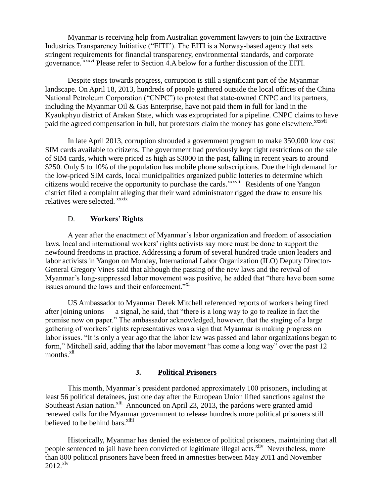Myanmar is receiving help from Australian government lawyers to join the Extractive Industries Transparency Initiative ("EITI"). The EITI is a Norway-based agency that sets stringent requirements for financial transparency, environmental standards, and corporate governance. xxxvi Please refer to Section [4.A](#page-5-1) below for a further discussion of the EITI.

Despite steps towards progress, corruption is still a significant part of the Myanmar landscape. On April 18, 2013, hundreds of people gathered outside the local offices of the China National Petroleum Corporation ("CNPC") to protest that state-owned CNPC and its partners, including the Myanmar Oil & Gas Enterprise, have not paid them in full for land in the Kyaukphyu district of Arakan State, which was expropriated for a pipeline. CNPC claims to have paid the agreed compensation in full, but protestors claim the money has gone elsewhere.<sup>xxxvii</sup>

In late April 2013, corruption shrouded a government program to make 350,000 low cost SIM cards available to citizens. The government had previously kept tight restrictions on the sale of SIM cards, which were priced as high as \$3000 in the past, falling in recent years to around \$250. Only 5 to 10% of the population has mobile phone subscriptions. Due the high demand for the low-priced SIM cards, local municipalities organized public lotteries to determine which citizens would receive the opportunity to purchase the cards.<sup>xxxviii</sup> Residents of one Yangon district filed a complaint alleging that their ward administrator rigged the draw to ensure his relatives were selected. *xxxix* 

### D. **Workers' Rights**

<span id="page-4-0"></span>A year after the enactment of Myanmar's labor organization and freedom of association laws, local and international workers' rights activists say more must be done to support the newfound freedoms in practice. Addressing a forum of several hundred trade union leaders and labor activists in Yangon on Monday, International Labor Organization (ILO) Deputy Director-General Gregory Vines said that although the passing of the new laws and the revival of Myanmar's long-suppressed labor movement was positive, he added that "there have been some issues around the laws and their enforcement."xl

US Ambassador to Myanmar Derek Mitchell referenced reports of workers being fired after joining unions — a signal, he said, that "there is a long way to go to realize in fact the promise now on paper." The ambassador acknowledged, however, that the staging of a large gathering of workers' rights representatives was a sign that Myanmar is making progress on labor issues. "It is only a year ago that the labor law was passed and labor organizations began to form," Mitchell said, adding that the labor movement "has come a long way" over the past 12 months.<sup>xli</sup>

## **3. Political Prisoners**

<span id="page-4-1"></span>This month, Myanmar's president pardoned approximately 100 prisoners, including at least 56 political detainees, just one day after the European Union lifted sanctions against the Southeast Asian nation.<sup>xlii</sup> Announced on April 23, 2013, the pardons were granted amid renewed calls for the Myanmar government to release hundreds more political prisoners still believed to be behind bars.<sup>xliii</sup>

Historically, Myanmar has denied the existence of political prisoners, maintaining that all people sentenced to jail have been convicted of legitimate illegal acts.<sup>xliv</sup> Nevertheless, more than 800 political prisoners have been freed in amnesties between May 2011 and November  $2012.^{xlv}$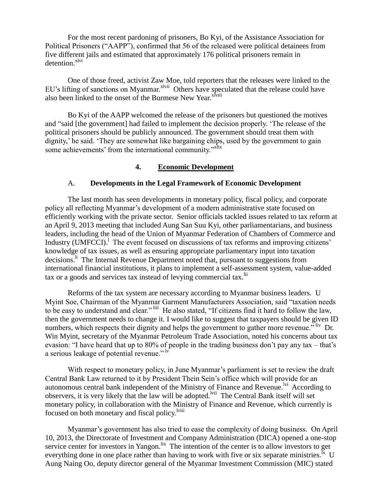For the most recent pardoning of prisoners, Bo Kyi, of the Assistance Association for Political Prisoners ("AAPP"), confirmed that 56 of the released were political detainees from five different jails and estimated that approximately 176 political prisoners remain in detention.<sup>xlvi</sup>

One of those freed, activist Zaw Moe, told reporters that the releases were linked to the EU's lifting of sanctions on Myanmar. $x^{\text{1vii}}$  Others have speculated that the release could have also been linked to the onset of the Burmese New Year.<sup>xlviii</sup>

Bo Kyi of the AAPP welcomed the release of the prisoners but questioned the motives and "said [the government] had failed to implement the decision properly. 'The release of the political prisoners should be publicly announced. The government should treat them with dignity,' he said. 'They are somewhat like bargaining chips, used by the government to gain some achievements' from the international community."<sup>xlix</sup>

### **4. Economic Development**

## <span id="page-5-0"></span>A. **Developments in the Legal Framework of Economic Development**

<span id="page-5-1"></span>The last month has seen developments in monetary policy, fiscal policy, and corporate policy all reflecting Myanmar's development of a modern administrative state focused on efficiently working with the private sector. Senior officials tackled issues related to tax reform at an April 9, 2013 meeting that included Aung San Suu Kyi, other parliamentarians, and business leaders, including the head of the Union of Myanmar Federation of Chambers of Commerce and Industry (UMFCCI).<sup>1</sup> The event focused on discussions of tax reforms and improving citizens' knowledge of tax issues, as well as ensuring appropriate parliamentary input into taxation decisions.<sup>li</sup> The Internal Revenue Department noted that, pursuant to suggestions from international financial institutions, it plans to implement a self-assessment system, value-added tax or a goods and services tax instead of levying commercial tax.<sup>lii</sup>

Reforms of the tax system are necessary according to Myanmar business leaders. U Myint Soe, Chairman of the Myanmar Garment Manufacturers Association, said "taxation needs to be easy to understand and clear." liii He also stated, "If citizens find it hard to follow the law, then the government needs to change it. I would like to suggest that taxpayers should be given ID numbers, which respects their dignity and helps the government to gather more revenue." liv Dr. Win Myint, secretary of the Myanmar Petroleum Trade Association, noted his concerns about tax evasion: "I have heard that up to 80% of people in the trading business don't pay any tax – that's a serious leakage of potential revenue." Iv

With respect to monetary policy, in June Myanmar's parliament is set to review the draft Central Bank Law returned to it by President Thein Sein's office which will provide for an autonomous central bank independent of the Ministry of Finance and Revenue.<sup>lvi</sup> According to observers, it is very likely that the law will be adopted.<sup>Ivii</sup> The Central Bank itself will set monetary policy, in collaboration with the Ministry of Finance and Revenue, which currently is focused on both monetary and fiscal policy.<sup>lviii</sup>

Myanmar's government has also tried to ease the complexity of doing business. On April 10, 2013, the Directorate of Investment and Company Administration (DICA) opened a one-stop service center for investors in Yangon.<sup>lix</sup> The intention of the center is to allow investors to get everything done in one place rather than having to work with five or six separate ministries.<sup>Ix</sup> U Aung Naing Oo, deputy director general of the Myanmar Investment Commission (MIC) stated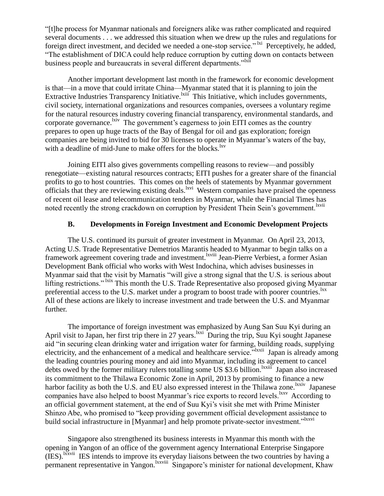"[t]he process for Myanmar nationals and foreigners alike was rather complicated and required several documents . . . we addressed this situation when we drew up the rules and regulations for foreign direct investment, and decided we needed a one-stop service."<sup>Ixi</sup> Perceptively, he added, "The establishment of DICA could help reduce corruption by cutting down on contacts between business people and bureaucrats in several different departments."<sup>1xii</sup>

Another important development last month in the framework for economic development is that—in a move that could irritate China—Myanmar stated that it is planning to join the Extractive Industries Transparency Initiative. Kiii This Initiative, which includes governments, civil society, international organizations and resources companies, oversees a voluntary regime for the natural resources industry covering financial transparency, environmental standards, and corporate governance.  ${}^{lxiv}$  The government's eagerness to join EITI comes as the country prepares to open up huge tracts of the Bay of Bengal for oil and gas exploration; foreign companies are being invited to bid for 30 licenses to operate in Myanmar's waters of the bay, with a deadline of mid-June to make offers for the blocks.<sup>lxv</sup>

 Joining EITI also gives governments compelling reasons to review—and possibly renegotiate—existing natural resources contracts; EITI pushes for a greater share of the financial profits to go to host countries. This comes on the heels of statements by Myanmar government officials that they are reviewing existing deals.<sup>lxvi</sup> Western companies have praised the openness of recent oil lease and telecommunication tenders in Myanmar, while the Financial Times has noted recently the strong crackdown on corruption by President Thein Sein's government.<sup>1xvii</sup>

## **B. Developments in Foreign Investment and Economic Development Projects**

<span id="page-6-0"></span>The U.S. continued its pursuit of greater investment in Myanmar. On April 23, 2013, Acting U.S. Trade Representative Demetrios Marantis headed to Myanmar to begin talks on a framework agreement covering trade and investment.<sup>Ixviii</sup> Jean-Pierre Verbiest, a former Asian Development Bank official who works with West Indochina, which advises businesses in Myanmar said that the visit by Marnatis "will give a strong signal that the U.S. is serious about lifting restrictions." <sup>Ixix</sup> This month the U.S. Trade Representative also proposed giving Myanmar preferential access to the U.S. market under a program to boost trade with poorer countries.<sup>lxx</sup> All of these actions are likely to increase investment and trade between the U.S. and Myanmar further.

The importance of foreign investment was emphasized by Aung San Suu Kyi during an April visit to Japan, her first trip there in 27 years. <sup>Ixxi</sup> During the trip, Suu Kyi sought Japanese aid "in securing clean drinking water and irrigation water for farming, building roads, supplying electricity, and the enhancement of a medical and healthcare service.<sup>"Ixxii</sup> Japan is already among the leading countries pouring money and aid into Myanmar, including its agreement to cancel debts owed by the former military rulers totalling some US \$3.6 billion. <sup>Ixxiii</sup> Japan also increased its commitment to the Thilawa Economic Zone in April, 2013 by promising to finance a new harbor facility as both the U.S. and EU also expressed interest in the Thilawa zone.<sup>lxxiv</sup> Japanese companies have also helped to boost Myanmar's rice exports to record levels. <sup>Ixxv</sup> According to an official government statement, at the end of Suu Kyi's visit she met with Prime Minister Shinzo Abe, who promised to "keep providing government official development assistance to build social infrastructure in [Myanmar] and help promote private-sector investment."<sup>Ixxvi</sup>

Singapore also strengthened its business interests in Myanmar this month with the opening in Yangon of an office of the government agency International Enterprise Singapore (IES).<sup>Ixxvii</sup> IES intends to improve its everyday liaisons between the two countries by having a permanent representative in Yangon.<sup>Ixxviii</sup> Singapore's minister for national development, Khaw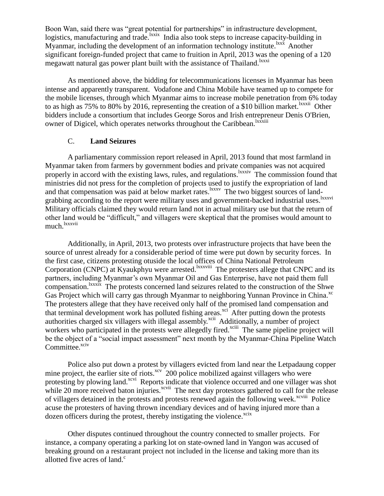Boon Wan, said there was "great potential for partnerships" in infrastructure development, logistics, manufacturing and trade. <sup>Ixxix</sup> India also took steps to increase capacity-building in Myanmar, including the development of an information technology institute.<sup>1xxx</sup> Another significant foreign-funded project that came to fruition in April, 2013 was the opening of a 120 megawatt natural gas power plant built with the assistance of Thailand.<sup>1xxxi</sup>

As mentioned above, the bidding for telecommunications licenses in Myanmar has been intense and apparently transparent. Vodafone and China Mobile have teamed up to compete for the mobile licenses, through which Myanmar aims to increase mobile penetration from 6% today to as high as 75% to 80% by 2016, representing the creation of a \$10 billion market. <sup>Ixxxii</sup> Other bidders include a consortium that includes George Soros and Irish entrepreneur Denis O'Brien, owner of Digicel, which operates networks throughout the Caribbean.<sup>lxxxiii</sup>

## C. **Land Seizures**

<span id="page-7-0"></span>A parliamentary commission report released in April, 2013 found that most farmland in Myanmar taken from farmers by government bodies and private companies was not acquired properly in accord with the existing laws, rules, and regulations.<sup>1xxxiv</sup> The commission found that ministries did not press for the completion of projects used to justify the expropriation of land and that compensation was paid at below market rates.<sup>lxxxv</sup> The two biggest sources of landgrabbing according to the report were military uses and government-backed industrial uses.<sup>lxxxvi</sup> Military officials claimed they would return land not in actual military use but that the return of other land would be "difficult," and villagers were skeptical that the promises would amount to much.<sup>lxxxvii</sup>

Additionally, in April, 2013, two protests over infrastructure projects that have been the source of unrest already for a considerable period of time were put down by security forces. In the first case, citizens protesting otuside the local offices of China National Petroleum Corporation (CNPC) at Kyaukphyu were arrested. *xxxviii* The protesters allege that CNPC and its partners, including Myanmar's own Myanmar Oil and Gas Enterprise, have not paid them full compensation. <sup>Ixxxix</sup> The protests concerned land seizures related to the construction of the Shwe Gas Project which will carry gas through Myanmar to neighboring Yunnan Province in China.<sup>xc</sup> The protesters allege that they have received only half of the promised land compensation and that terminal development work has polluted fishing areas.<sup>xci</sup> After putting down the protests authorities charged six villagers with illegal assembly.<sup>xcii</sup> Additionally, a number of project workers who participated in the protests were allegedly fired.<sup>xciii</sup> The same pipeline project will be the object of a "social impact assessment" next month by the Myanmar-China Pipeline Watch Committee.<sup>xciv</sup>

Police also put down a protest by villagers evicted from land near the Letpadaung copper mine project, the earlier site of riots.<sup>xcv</sup> 200 police mobilized against villagers who were protesting by plowing land.<sup>xcvi</sup> Reports indicate that violence occurred and one villager was shot while 20 more received baton injuries.<sup>xcvii</sup> The next day protestors gathered to call for the release of villagers detained in the protests and protests renewed again the following week.<sup>xcviii</sup> Police acuse the protesters of having thrown incendiary devices and of having injured more than a dozen officers during the protest, thereby instigating the violence.<sup>xcix</sup>

Other disputes continued throughout the country connected to smaller projects. For instance, a company operating a parking lot on state-owned land in Yangon was accused of breaking ground on a restaurant project not included in the license and taking more than its allotted five acres of land.<sup>c</sup>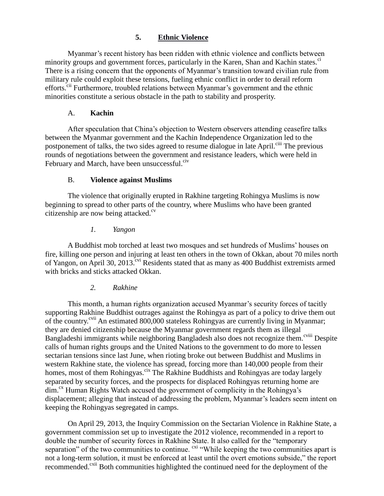# **5. Ethnic Violence**

<span id="page-8-0"></span>Myanmar's recent history has been ridden with ethnic violence and conflicts between minority groups and government forces, particularly in the Karen, Shan and Kachin states.<sup>ci</sup> There is a rising concern that the opponents of Myanmar's transition toward civilian rule from military rule could exploit these tensions, fueling ethnic conflict in order to derail reform efforts.<sup>cii</sup> Furthermore, troubled relations between Myanmar's government and the ethnic minorities constitute a serious obstacle in the path to stability and prosperity.

# A. **Kachin**

<span id="page-8-1"></span>After speculation that China's objection to Western observers attending ceasefire talks between the Myanmar government and the Kachin Independence Organization led to the postponement of talks, the two sides agreed to resume dialogue in late April.<sup>ciii</sup> The previous rounds of negotiations between the government and resistance leaders, which were held in February and March, have been unsuccessful. $e^{i\theta}$ 

# B. **Violence against Muslims**

<span id="page-8-2"></span>The violence that originally erupted in Rakhine targeting Rohingya Muslims is now beginning to spread to other parts of the country, where Muslims who have been granted citizenship are now being attacked. $c<sup>v</sup>$ 

# *1. Yangon*

<span id="page-8-3"></span>A Buddhist mob torched at least two mosques and set hundreds of Muslims' houses on fire, killing one person and injuring at least ten others in the town of Okkan, about 70 miles north of Yangon, on April 30, 2013.<sup>cvi</sup> Residents stated that as many as 400 Buddhist extremists armed with bricks and sticks attacked Okkan.

# *2. Rakhine*

<span id="page-8-4"></span>This month, a human rights organization accused Myanmar's security forces of tacitly supporting Rakhine Buddhist outrages against the Rohingya as part of a policy to drive them out of the country.<sup>cvii</sup> An estimated 800,000 stateless Rohingyas are currently living in Myanmar; they are denied citizenship because the Myanmar government regards them as illegal Bangladeshi immigrants while neighboring Bangladesh also does not recognize them.<sup>cviii</sup> Despite calls of human rights groups and the United Nations to the government to do more to lessen sectarian tensions since last June, when rioting broke out between Buddhist and Muslims in western Rakhine state, the violence has spread, forcing more than 140,000 people from their homes, most of them Rohingyas.<sup>cix</sup> The Rakhine Buddhists and Rohingyas are today largely separated by security forces, and the prospects for displaced Rohingyas returning home are dim.<sup>cx</sup> Human Rights Watch accused the government of complicity in the Rohingya's displacement; alleging that instead of addressing the problem, Myanmar's leaders seem intent on keeping the Rohingyas segregated in camps.

On April 29, 2013, the Inquiry Commission on the Sectarian Violence in Rakhine State, a government commission set up to investigate the 2012 violence, recommended in a report to double the number of security forces in Rakhine State. It also called for the "temporary separation" of the two communities to continue. <sup>cxi</sup> "While keeping the two communities apart is not a long-term solution, it must be enforced at least until the overt emotions subside," the report recommended.<sup>cxii</sup> Both communities highlighted the continued need for the deployment of the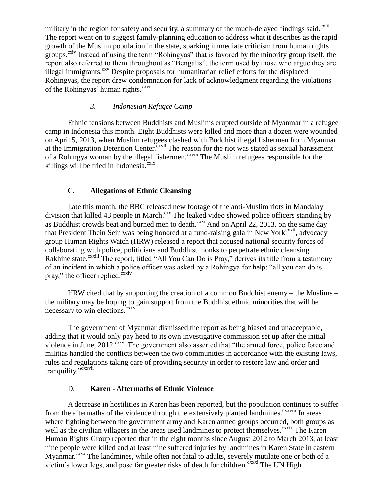military in the region for safety and security, a summary of the much-delayed findings said. $\frac{\text{c}}{\text{c}}$ The report went on to suggest family-planning education to address what it describes as the rapid growth of the Muslim population in the state, sparking immediate criticism from human rights groups.<sup>cxiv</sup> Instead of using the term "Rohingyas" that is favored by the minority group itself, the report also referred to them throughout as "Bengalis", the term used by those who argue they are illegal immigrants.<sup>cxv</sup> Despite proposals for humanitarian relief efforts for the displaced Rohingyas, the report drew condemnation for lack of acknowledgment regarding the violations of the Rohingyas' human rights.<sup>cxvi</sup>

## *3. Indonesian Refugee Camp*

<span id="page-9-0"></span>Ethnic tensions between Buddhists and Muslims erupted outside of Myanmar in a refugee camp in Indonesia this month. Eight Buddhists were killed and more than a dozen were wounded on April 5, 2013, when Muslim refugees clashed with Buddhist illegal fishermen from Myanmar at the Immigration Detention Center.<sup>cxvii</sup> The reason for the riot was stated as sexual harassment of a Rohingya woman by the illegal fishermen.<sup>cxviii</sup> The Muslim refugees responsible for the killings will be tried in Indonesia. $c$ <sup>xix</sup>

## C. **Allegations of Ethnic Cleansing**

<span id="page-9-1"></span>Late this month, the BBC released new footage of the anti-Muslim riots in Mandalay division that killed 43 people in March.<sup>cxx</sup> The leaked video showed police officers standing by as Buddhist crowds beat and burned men to death. $\frac{c}{c}$ xxi And on April 22, 2013, on the same day that President Thein Sein was being honored at a fund-raising gala in New York<sup>cxxii</sup>, advocacy group Human Rights Watch (HRW) released a report that accused national security forces of collaborating with police, politicians and Buddhist monks to perpetrate ethnic cleansing in Rakhine state.<sup>cxxiii</sup> The report, titled "All You Can Do is Pray," derives its title from a testimony of an incident in which a police officer was asked by a Rohingya for help; "all you can do is pray," the officer replied. $\frac{\tilde{c}xxiv}{ }$ 

HRW cited that by supporting the creation of a common Buddhist enemy – the Muslims – the military may be hoping to gain support from the Buddhist ethnic minorities that will be necessary to win elections.<sup>cxxv</sup>

The government of Myanmar dismissed the report as being biased and unacceptable, adding that it would only pay heed to its own investigative commission set up after the initial violence in June,  $2012$ .  $\frac{\text{c}^2 \cdot \text{c}^2 \cdot \text{c}^2}{\text{c}^2 \cdot \text{c}^2}$  The government also asserted that "the armed force, police force and militias handled the conflicts between the two communities in accordance with the existing laws, rules and regulations taking care of providing security in order to restore law and order and tranquility."<sup>cxxvii</sup>

#### D. **Karen - Aftermaths of Ethnic Violence**

<span id="page-9-2"></span>A decrease in hostilities in Karen has been reported, but the population continues to suffer from the aftermaths of the violence through the extensively planted landmines.<sup>cxxviii</sup> In areas where fighting between the government army and Karen armed groups occurred, both groups as well as the civilian villagers in the areas used landmines to protect themselves.<sup>cxxix</sup> The Karen Human Rights Group reported that in the eight months since August 2012 to March 2013, at least nine people were killed and at least nine suffered injuries by landmines in Karen State in eastern Myanmar.<sup>cxxx</sup> The landmines, while often not fatal to adults, severely mutilate one or both of a victim's lower legs, and pose far greater risks of death for children.<sup>cxxxi</sup> The UN High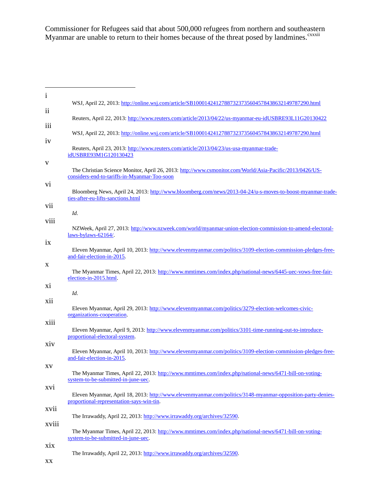Commissioner for Refugees said that about 500,000 refugees from northern and southeastern Myanmar are unable to return to their homes because of the threat posed by landmines.<sup>cxxxii</sup>

<u> 1990 - Johann Barbara, martin a</u>

| $\mathbf{1}$          |                                                                                                                                                          |
|-----------------------|----------------------------------------------------------------------------------------------------------------------------------------------------------|
| $\overline{11}$       | WSJ, April 22, 2013: http://online.wsj.com/article/SB10001424127887323735604578438632149787290.html                                                      |
| 111                   | Reuters, April 22, 2013: http://www.reuters.com/article/2013/04/22/us-myanmar-eu-idUSBRE93L11G20130422                                                   |
| iv                    | WSJ, April 22, 2013: http://online.wsj.com/article/SB10001424127887323735604578438632149787290.html                                                      |
|                       | Reuters, April 23, 2013: http://www.reuters.com/article/2013/04/23/us-usa-myanmar-trade-<br>idUSBRE93M1G120130423                                        |
| V                     | The Christian Science Monitor, April 26, 2013: http://www.csmonitor.com/World/Asia-Pacific/2013/0426/US-<br>considers-end-to-tariffs-in-Myanmar-Too-soon |
| V1                    | Bloomberg News, April 24, 2013: http://www.bloomberg.com/news/2013-04-24/u-s-moves-to-boost-myanmar-trade-<br>ties-after-eu-lifts-sanctions.html         |
| V <sub>ii</sub>       | Id.                                                                                                                                                      |
| viii                  | NZWeek, April 27, 2013: http://www.nzweek.com/world/myanmar-union-election-commission-to-amend-electoral-<br>laws-bylaws- $62164/$ .                     |
| 1X                    | Eleven Myanmar, April 10, 2013: http://www.elevenmyanmar.com/politics/3109-election-commission-pledges-free-<br>and-fair-election-in-2015.               |
| X                     | The Myanmar Times, April 22, 2013: http://www.mmtimes.com/index.php/national-news/6445-uec-vows-free-fair-<br>election-in-2015.html.                     |
| X <sub>i</sub><br>xii | Id.                                                                                                                                                      |
| X111                  | Eleven Myanmar, April 29, 2013: http://www.elevenmyanmar.com/politics/3279-election-welcomes-civic-<br>organizations-cooperation.                        |
|                       | Eleven Myanmar, April 9, 2013: http://www.elevenmyanmar.com/politics/3101-time-running-out-to-introduce-<br>proportional-electoral-system.               |
| xiv                   | Eleven Myanmar, April 10, 2013: http://www.elevenmyanmar.com/politics/3109-election-commission-pledges-free-<br>and-fair-election-in-2015.               |
| XV                    | The Myanmar Times, April 22, 2013: http://www.mmtimes.com/index.php/national-news/6471-bill-on-voting-<br>system-to-be-submitted-in-june-uec.            |
| XV1                   | Eleven Myanmar, April 18, 2013: http://www.elevenmyanmar.com/politics/3148-myanmar-opposition-party-denies-<br>proportional-representation-says-win-tin. |
| xvii                  | The Irrawaddy, April 22, 2013: http://www.irrawaddy.org/archives/32590.                                                                                  |
| xviii                 | The Myanmar Times, April 22, 2013: http://www.mmtimes.com/index.php/national-news/6471-bill-on-voting-<br>system-to-be-submitted-in-june-uec.            |
| xix                   | The Irrawaddy, April 22, 2013: http://www.irrawaddy.org/archives/32590.                                                                                  |

xx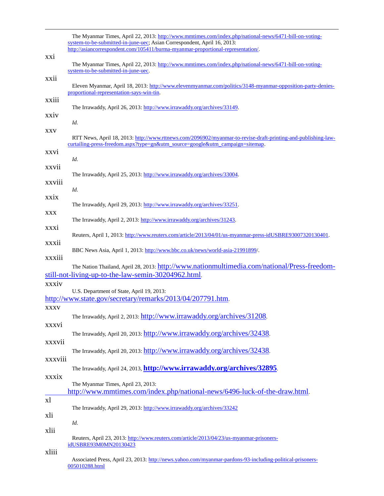|                | The Myanmar Times, April 22, 2013: http://www.mmtimes.com/index.php/national-news/6471-bill-on-voting-<br>system-to-be-submitted-in-june-uec; Asian Correspondent, April 16, 2013:             |
|----------------|------------------------------------------------------------------------------------------------------------------------------------------------------------------------------------------------|
|                | http://asiancorrespondent.com/105411/burma-myanmar-proportional-representation/.                                                                                                               |
| XX1            | The Myanmar Times, April 22, 2013: http://www.mmtimes.com/index.php/national-news/6471-bill-on-voting-                                                                                         |
|                | system-to-be-submitted-in-june-uec.                                                                                                                                                            |
| XX11           | Eleven Myanmar, April 18, 2013: http://www.elevenmyanmar.com/politics/3148-myanmar-opposition-party-denies-<br>proportional-representation-says-win-tin.                                       |
| XX111          | The Irrawaddy, April 26, 2013: http://www.irrawaddy.org/archives/33149.                                                                                                                        |
| xxiv           | Id.                                                                                                                                                                                            |
| <b>XXV</b>     | RTT News, April 18, 2013: http://www.rttnews.com/2096902/myanmar-to-revise-draft-printing-and-publishing-law-<br>curtailing-press-freedom.aspx?type=gn&utm_source=google&utm_campaign=sitemap. |
| XXV1           | Id.                                                                                                                                                                                            |
| XXVII          | The Irrawaddy, April 25, 2013: http://www.irrawaddy.org/archives/33004.                                                                                                                        |
| XXVIII         | Id.                                                                                                                                                                                            |
| xxix           | The Irrawaddy, April 29, 2013: http://www.irrawaddy.org/archives/33251.                                                                                                                        |
| <b>XXX</b>     | The Irrawaddy, April 2, 2013: http://www.irrawaddy.org/archives/31243.                                                                                                                         |
| <b>XXX1</b>    | Reuters, April 1, 2013: http://www.reuters.com/article/2013/04/01/us-myanmar-press-idUSBRE93007320130401.                                                                                      |
| XXX11          | BBC News Asia, April 1, 2013: http://www.bbc.co.uk/news/world-asia-21991899/.                                                                                                                  |
| xxxiii         | The Nation Thailand, April 28, 2013: http://www.nationmultimedia.com/national/Press-freedom-                                                                                                   |
| xxxiv          | still-not-living-up-to-the-law-semin-30204962.html.                                                                                                                                            |
|                | U.S. Department of State, April 19, 2013:<br>http://www.state.gov/secretary/remarks/2013/04/207791.htm.                                                                                        |
| <b>XXXV</b>    | The Irrawaddy, April 2, 2013: http://www.irrawaddy.org/archives/31208.                                                                                                                         |
| xxxvi          | The Irrawaddy, April 20, 2013: http://www.irrawaddy.org/archives/32438.                                                                                                                        |
| xxxvii         | The Irrawaddy, April 20, 2013: http://www.irrawaddy.org/archives/32438.                                                                                                                        |
| xxxviii        | The Irrawaddy, April 24, 2013, <b>http://www.irrawaddy.org/archives/32895</b> .                                                                                                                |
| xxxix          | The Myanmar Times, April 23, 2013:                                                                                                                                                             |
|                | http://www.mmtimes.com/index.php/national-news/6496-luck-of-the-draw.html.                                                                                                                     |
| x <sub>l</sub> | The Irrawaddy, April 29, 2013: http://www.irrawaddy.org/archives/33242                                                                                                                         |
| xli            | Id.                                                                                                                                                                                            |
| xlii           |                                                                                                                                                                                                |
| xliii          | Reuters, April 23, 2013: http://www.reuters.com/article/2013/04/23/us-myanmar-prisoners-<br>idUSBRE93M0MN20130423                                                                              |
|                | Associated Press, April 23, 2013: http://news.yahoo.com/myanmar-pardons-93-including-political-prisoners-<br>005010288.html                                                                    |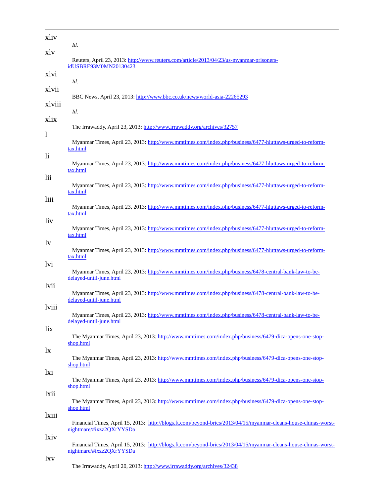| xliv            | Id.                                                                                                                                         |
|-----------------|---------------------------------------------------------------------------------------------------------------------------------------------|
| xly             | Reuters, April 23, 2013: http://www.reuters.com/article/2013/04/23/us-myanmar-prisoners-<br>idUSBRE93M0MN20130423                           |
| xlvi            | Id.                                                                                                                                         |
| xlvii<br>xlviii | BBC News, April 23, 2013: http://www.bbc.co.uk/news/world-asia-22265293                                                                     |
|                 | Id.                                                                                                                                         |
| xlix<br>1       | The Irrawaddy, April 23, 2013: http://www.irrawaddy.org/archives/32757                                                                      |
|                 | Myanmar Times, April 23, 2013: http://www.mmtimes.com/index.php/business/6477-hluttaws-urged-to-reform-<br>tax.html                         |
| $\mathbf{h}$    | Myanmar Times, April 23, 2013: http://www.mmtimes.com/index.php/business/6477-hluttaws-urged-to-reform-<br>tax.html                         |
| lii             | Myanmar Times, April 23, 2013: http://www.mmtimes.com/index.php/business/6477-hluttaws-urged-to-reform-<br>tax.html                         |
| liii            | Myanmar Times, April 23, 2013: http://www.mmtimes.com/index.php/business/6477-hluttaws-urged-to-reform-<br>tax.html                         |
| liv             | Myanmar Times, April 23, 2013: http://www.mmtimes.com/index.php/business/6477-hluttaws-urged-to-reform-                                     |
| $\mathbf{v}$    | tax.html<br>Myanmar Times, April 23, 2013: http://www.mmtimes.com/index.php/business/6477-hluttaws-urged-to-reform-                         |
| lvi             | tax.html<br>Myanmar Times, April 23, 2013: http://www.mmtimes.com/index.php/business/6478-central-bank-law-to-be-                           |
| lvii            | delayed-until-june.html                                                                                                                     |
| lviii           | Myanmar Times, April 23, 2013: http://www.mmtimes.com/index.php/business/6478-central-bank-law-to-be-<br>delayed-until-june.html            |
| lix             | Myanmar Times, April 23, 2013: http://www.mmtimes.com/index.php/business/6478-central-bank-law-to-be-<br>delayed-until-june.html            |
|                 | The Myanmar Times, April 23, 2013: http://www.mmtimes.com/index.php/business/6479-dica-opens-one-stop-<br>shop.html                         |
| $\mathbf{I}$    | The Myanmar Times, April 23, 2013: http://www.mmtimes.com/index.php/business/6479-dica-opens-one-stop-<br>shop.html                         |
| lxi             | The Myanmar Times, April 23, 2013: http://www.mmtimes.com/index.php/business/6479-dica-opens-one-stop-                                      |
| lxii            | shop.html<br>The Myanmar Times, April 23, 2013: http://www.mmtimes.com/index.php/business/6479-dica-opens-one-stop-                         |
| lxiii           | shop.html                                                                                                                                   |
| lxiv            | Financial Times, April 15, 2013: http://blogs.ft.com/beyond-brics/2013/04/15/myanmar-cleans-house-chinas-worst-<br>nightmare/#ixzz2QXrYYSDa |
|                 | Financial Times, April 15, 2013: http://blogs.ft.com/beyond-brics/2013/04/15/myanmar-cleans-house-chinas-worst-<br>nightmare/#ixzz2QXrYYSDa |
| lxv             | The Irrawaddy, April 20, 2013: http://www.irrawaddy.org/archives/32438                                                                      |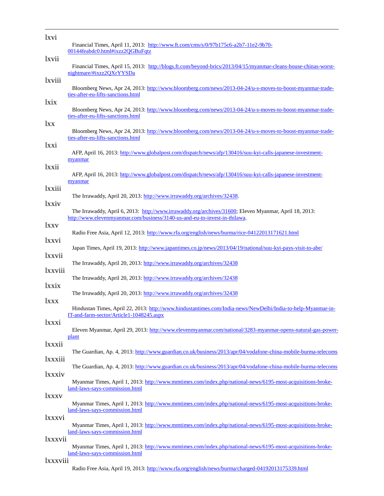| lxvi       |                                                                                                                                                |
|------------|------------------------------------------------------------------------------------------------------------------------------------------------|
|            | Financial Times, April 11, 2013: http://www.ft.com/cms/s/0/97b175c6-a2b7-11e2-9b70-<br>00144feabdc0.html#ixzz2QGBuFqtz                         |
| lxvii      |                                                                                                                                                |
|            | Financial Times, April 15, 2013: http://blogs.ft.com/beyond-brics/2013/04/15/myanmar-cleans-house-chinas-worst-<br>nightmare/#ixzz2QXrYYSDa    |
| lxviii     |                                                                                                                                                |
|            | Bloomberg News, Apr 24, 2013: http://www.bloomberg.com/news/2013-04-24/u-s-moves-to-boost-myanmar-trade-<br>ties-after-eu-lifts-sanctions.html |
| lxix       |                                                                                                                                                |
|            | Bloomberg News, Apr 24, 2013: http://www.bloomberg.com/news/2013-04-24/u-s-moves-to-boost-myanmar-trade-                                       |
| lxx        | ties-after-eu-lifts-sanctions.html                                                                                                             |
|            | Bloomberg News, Apr 24, 2013: http://www.bloomberg.com/news/2013-04-24/u-s-moves-to-boost-myanmar-trade-                                       |
|            | ties-after-eu-lifts-sanctions.html                                                                                                             |
| lxxi       | AFP, April 16, 2013: http://www.globalpost.com/dispatch/news/afp/130416/suu-kyi-calls-japanese-investment-                                     |
|            | myanmar                                                                                                                                        |
| lxxii      |                                                                                                                                                |
|            | AFP, April 16, 2013: http://www.globalpost.com/dispatch/news/afp/130416/suu-kyi-calls-japanese-investment-<br>myanmar                          |
| lxxiii     |                                                                                                                                                |
|            | The Irrawaddy, April 20, 2013: http://www.irrawaddy.org/archives/32438.                                                                        |
| lxxiv      | The Irrawaddy, April 6, 2013: http://www.irrawaddy.org/archives/31600; Eleven Myanmar, April 18, 2013:                                         |
|            | http://www.elevenmyanmar.com/business/3140-us-and-eu-to-invest-in-thilawa.                                                                     |
| <i>xxv</i> |                                                                                                                                                |
| lxxvi      | Radio Free Asia, April 12, 2013: http://www.rfa.org/english/news/burma/rice-04122013171621.html                                                |
|            | Japan Times, April 19, 2013: http://www.japantimes.co.jp/news/2013/04/19/national/suu-kyi-pays-visit-to-abe/                                   |
| lxxvii     |                                                                                                                                                |
| lxxviii    | The Irrawaddy, April 20, 2013: http://www.irrawaddy.org/archives/32438                                                                         |
|            | The Irrawaddy, April 20, 2013: http://www.irrawaddy.org/archives/32438                                                                         |
| lxxix      |                                                                                                                                                |
|            | The Irrawaddy, April 20, 2013: http://www.irrawaddy.org/archives/32438                                                                         |
| <i>xxx</i> | Hindustan Times, April 22, 2013: http://www.hindustantimes.com/India-news/NewDelhi/India-to-help-Myanmar-in-                                   |
|            | IT-and-farm-sector/Article1-1048245.aspx                                                                                                       |
| lxxxi      |                                                                                                                                                |
|            | Eleven Myanmar, April 29, 2013: http://www.elevenmyanmar.com/national/3283-myanmar-opens-natural-gas-power-<br>plant                           |
| lxxxii     |                                                                                                                                                |
|            | The Guardian, Ap. 4, 2013: http://www.guardian.co.uk/business/2013/apr/04/vodafone-china-mobile-burma-telecoms                                 |
| lxxxiii    | The Guardian, Ap. 4, 2013: http://www.guardian.co.uk/business/2013/apr/04/vodafone-china-mobile-burma-telecoms                                 |
| lxxxiv     |                                                                                                                                                |
|            | Myanmar Times, April 1, 2013: http://www.mmtimes.com/index.php/national-news/6195-most-acquisitions-broke-                                     |
| lxxxv      | land-laws-says-commission.html                                                                                                                 |
|            | Myanmar Times, April 1, 2013: http://www.mmtimes.com/index.php/national-news/6195-most-acquisitions-broke-                                     |
|            | land-laws-says-commission.html                                                                                                                 |
| lxxxvi     | Myanmar Times, April 1, 2013: http://www.mmtimes.com/index.php/national-news/6195-most-acquisitions-broke-                                     |
|            | land-laws-says-commission.html                                                                                                                 |
| lxxxvii    |                                                                                                                                                |
|            | Myanmar Times, April 1, 2013: http://www.mmtimes.com/index.php/national-news/6195-most-acquisitions-broke-<br>land-laws-says-commission.html   |
| lxxxviii   |                                                                                                                                                |

 $\overline{a}$ 

Radio Free Asia, April 19, 2013[: http://www.rfa.org/english/news/burma/charged-04192013175339.html](http://www.rfa.org/english/news/burma/charged-04192013175339.html)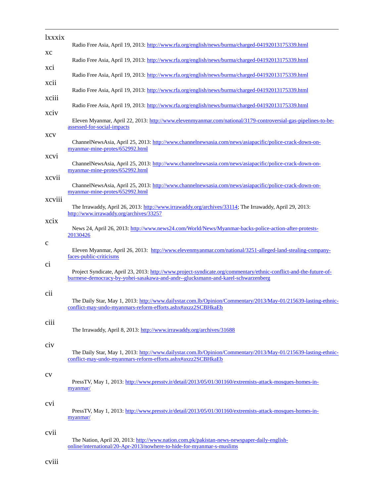| lxxxix              | Radio Free Asia, April 19, 2013: http://www.rfa.org/english/news/burma/charged-04192013175339.html                                                                                                    |
|---------------------|-------------------------------------------------------------------------------------------------------------------------------------------------------------------------------------------------------|
| xс                  |                                                                                                                                                                                                       |
| xci                 | Radio Free Asia, April 19, 2013: http://www.rfa.org/english/news/burma/charged-04192013175339.html                                                                                                    |
|                     | Radio Free Asia, April 19, 2013: http://www.rfa.org/english/news/burma/charged-04192013175339.html                                                                                                    |
| xcii<br>xciii       | Radio Free Asia, April 19, 2013: http://www.rfa.org/english/news/burma/charged-04192013175339.html                                                                                                    |
| xciv                | Radio Free Asia, April 19, 2013: http://www.rfa.org/english/news/burma/charged-04192013175339.html                                                                                                    |
|                     | Eleven Myanmar, April 22, 2013: http://www.elevenmyanmar.com/national/3179-controversial-gas-pipelines-to-be-<br>assessed-for-social-impacts                                                          |
| xcv                 | ChannelNewsAsia, April 25, 2013: http://www.channelnewsasia.com/news/asiapacific/police-crack-down-on-<br>myanmar-mine-protes/652992.html                                                             |
| xcvi                | ChannelNewsAsia, April 25, 2013: http://www.channelnewsasia.com/news/asiapacific/police-crack-down-on-<br>myanmar-mine-protes/652992.html                                                             |
| xcvii               | ChannelNewsAsia, April 25, 2013: http://www.channelnewsasia.com/news/asiapacific/police-crack-down-on-<br>myanmar-mine-protes/652992.html                                                             |
| xcviii              | The Irrawaddy, April 26, 2013: http://www.irrawaddy.org/archives/33114; The Irrawaddy, April 29, 2013:<br>http://www.irrawaddy.org/archives/33257                                                     |
| хсіх<br>$\mathbf c$ | News 24, April 26, 2013: http://www.news24.com/World/News/Myanmar-backs-police-action-after-protests-<br>20130426                                                                                     |
| ci                  | Eleven Myanmar, April 26, 2013: http://www.elevenmyanmar.com/national/3251-alleged-land-stealing-company-<br>faces-public-criticisms                                                                  |
|                     | Project Syndicate, April 23, 2013: http://www.project-syndicate.org/commentary/ethnic-conflict-and-the-future-of-<br>burmese-democracy-by-yohei-sasakawa-and-andr--glucksmann-and-karel-schwarzenberg |
| cii                 | The Daily Star, May 1, 2013: http://www.dailystar.com.lb/Opinion/Commentary/2013/May-01/215639-lasting-ethnic-<br>conflict-may-undo-myanmars-reform-efforts.ashx#axzz2SCBHkaEb                        |
| ciii                | The Irrawaddy, April 8, 2013: http://www.irrawaddy.org/archives/31688                                                                                                                                 |
| civ                 | The Daily Star, May 1, 2013: http://www.dailystar.com.lb/Opinion/Commentary/2013/May-01/215639-lasting-ethnic-<br>conflict-may-undo-myanmars-reform-efforts.ashx#axzz2SCBHkaEb                        |
| $\rm{cv}$           | PressTV, May 1, 2013: http://www.presstv.ir/detail/2013/05/01/301160/extremists-attack-mosques-homes-in-<br>myanmar/                                                                                  |
| cvi                 | PressTV, May 1, 2013: http://www.presstv.ir/detail/2013/05/01/301160/extremists-attack-mosques-homes-in-<br>myanmar/                                                                                  |
| cvii                | The Nation, April 20, 2013: http://www.nation.com.pk/pakistan-news-newspaper-daily-english-<br>online/international/20-Apr-2013/nowhere-to-hide-for-myanmar-s-muslims                                 |

cviii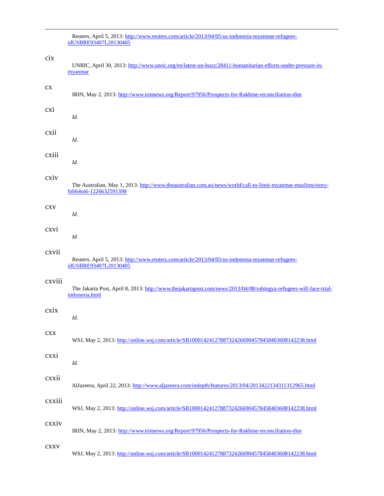Reuters, April 5, 2013[: http://www.reuters.com/article/2013/04/05/us-indonesia-myanmar-refugees](http://www.reuters.com/article/2013/04/05/us-indonesia-myanmar-refugees-idUSBRE93407L20130405)[idUSBRE93407L20130405](http://www.reuters.com/article/2013/04/05/us-indonesia-myanmar-refugees-idUSBRE93407L20130405) cix UNRIC, April 30, 2013[: http://www.unric.org/en/latest-un-buzz/28411-humanitarian-efforts-under-pressure-in](http://www.unric.org/en/latest-un-buzz/28411-humanitarian-efforts-under-pressure-in-myanmar)[myanmar](http://www.unric.org/en/latest-un-buzz/28411-humanitarian-efforts-under-pressure-in-myanmar) cx IRIN, May 2, 2013[: http://www.irinnews.org/Report/97956/Prospects-for-Rakhine-reconciliation-dim](http://www.irinnews.org/Report/97956/Prospects-for-Rakhine-reconciliation-dim) cxi *Id.* cxii *Id.* cxiii *Id.* cxiv The Australian, May 1, 2013: [http://www.theaustralian.com.au/news/world/call-to-limit-myanmar-muslims/story](http://www.theaustralian.com.au/news/world/call-to-limit-myanmar-muslims/story-fnb64oi6-1226632591398)[fnb64oi6-1226632591398](http://www.theaustralian.com.au/news/world/call-to-limit-myanmar-muslims/story-fnb64oi6-1226632591398) cxv *Id.* cxvi *Id.* cxvii Reuters, April 5, 2013[: http://www.reuters.com/article/2013/04/05/us-indonesia-myanmar-refugees](http://www.reuters.com/article/2013/04/05/us-indonesia-myanmar-refugees-idUSBRE93407L20130405)[idUSBRE93407L20130405](http://www.reuters.com/article/2013/04/05/us-indonesia-myanmar-refugees-idUSBRE93407L20130405) cxviii The Jakarta Post, April 8, 2013: [http://www.thejakartapost.com/news/2013/04/08/rohingya-refugees-will-face-trial](http://www.thejakartapost.com/news/2013/04/08/rohingya-refugees-will-face-trial-indonesia.html)[indonesia.html](http://www.thejakartapost.com/news/2013/04/08/rohingya-refugees-will-face-trial-indonesia.html) cxix *Id.* cxx WSJ, May 2, 2013[: http://online.wsj.com/article/SB10001424127887324266904578458403608142238.html](http://online.wsj.com/article/SB10001424127887324266904578458403608142238.html) cxxi *Id.* cxxii AlJazeera, April 22, 2013[: http://www.aljazeera.com/indepth/features/2013/04/2013422134311312965.html](http://www.aljazeera.com/indepth/features/2013/04/2013422134311312965.html) cxxiii WSJ, May 2, 2013[: http://online.wsj.com/article/SB10001424127887324266904578458403608142238.html](http://online.wsj.com/article/SB10001424127887324266904578458403608142238.html) cxxiv IRIN, May 2, 2013[: http://www.irinnews.org/Report/97956/Prospects-for-Rakhine-reconciliation-dim](http://www.irinnews.org/Report/97956/Prospects-for-Rakhine-reconciliation-dim) cxxv WSJ, May 2, 2013[: http://online.wsj.com/article/SB10001424127887324266904578458403608142238.html](http://online.wsj.com/article/SB10001424127887324266904578458403608142238.html)